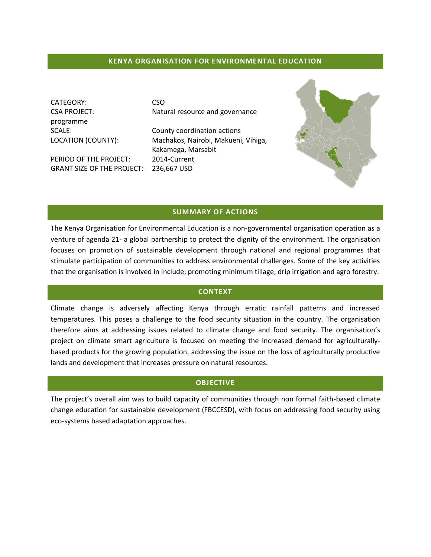### **KENYA ORGANISATION FOR ENVIRONMENTAL EDUCATION**

CATEGORY: CSO programme

PERIOD OF THE PROJECT: 2014-Current GRANT SIZE OF THE PROJECT: 236,667 USD

CSA PROJECT: Natural resource and governance

SCALE: County coordination actions LOCATION (COUNTY): Machakos, Nairobi, Makueni, Vihiga, Kakamega, Marsabit



### **SUMMARY OF ACTIONS**

The Kenya Organisation for Environmental Education is a non-governmental organisation operation as a venture of agenda 21- a global partnership to protect the dignity of the environment. The organisation focuses on promotion of sustainable development through national and regional programmes that stimulate participation of communities to address environmental challenges. Some of the key activities that the organisation is involved in include; promoting minimum tillage; drip irrigation and agro forestry.

#### **CONTEXT**

Climate change is adversely affecting Kenya through erratic rainfall patterns and increased temperatures. This poses a challenge to the food security situation in the country. The organisation therefore aims at addressing issues related to climate change and food security. The organisation's project on climate smart agriculture is focused on meeting the increased demand for agriculturallybased products for the growing population, addressing the issue on the loss of agriculturally productive lands and development that increases pressure on natural resources.

### **OBJECTIVE**

The project's overall aim was to build capacity of communities through non formal faith-based climate change education for sustainable development (FBCCESD), with focus on addressing food security using eco-systems based adaptation approaches.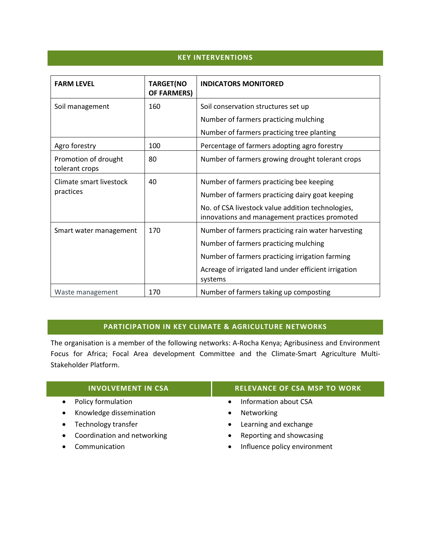## **KEY INTERVENTIONS**

| <b>FARM LEVEL</b>                      | <b>TARGET(NO</b><br><b>OF FARMERS)</b> | <b>INDICATORS MONITORED</b>                                                                        |
|----------------------------------------|----------------------------------------|----------------------------------------------------------------------------------------------------|
| Soil management                        | 160                                    | Soil conservation structures set up                                                                |
|                                        |                                        | Number of farmers practicing mulching                                                              |
|                                        |                                        | Number of farmers practicing tree planting                                                         |
| Agro forestry                          | 100                                    | Percentage of farmers adopting agro forestry                                                       |
| Promotion of drought<br>tolerant crops | 80                                     | Number of farmers growing drought tolerant crops                                                   |
| Climate smart livestock                | 40                                     | Number of farmers practicing bee keeping                                                           |
| practices                              |                                        | Number of farmers practicing dairy goat keeping                                                    |
|                                        |                                        | No. of CSA livestock value addition technologies,<br>innovations and management practices promoted |
| Smart water management                 | 170                                    | Number of farmers practicing rain water harvesting                                                 |
|                                        |                                        | Number of farmers practicing mulching                                                              |
|                                        |                                        | Number of farmers practicing irrigation farming                                                    |
|                                        |                                        | Acreage of irrigated land under efficient irrigation<br>systems                                    |
| Waste management                       | 170                                    | Number of farmers taking up composting                                                             |

# **PARTICIPATION IN KEY CLIMATE & AGRICULTURE NETWORKS**

The organisation is a member of the following networks: A-Rocha Kenya; Agribusiness and Environment Focus for Africa; Focal Area development Committee and the Climate-Smart Agriculture Multi-Stakeholder Platform.

| <b>INVOLVEMENT IN CSA</b>     | <b>RELEVANCE OF CSA MSP TO WORK</b>       |
|-------------------------------|-------------------------------------------|
| • Policy formulation          | Information about CSA<br>$\bullet$        |
| • Knowledge dissemination     | Networking<br>$\bullet$                   |
| • Technology transfer         | Learning and exchange<br>$\bullet$        |
| • Coordination and networking | Reporting and showcasing<br>$\bullet$     |
| • Communication               | Influence policy environment<br>$\bullet$ |